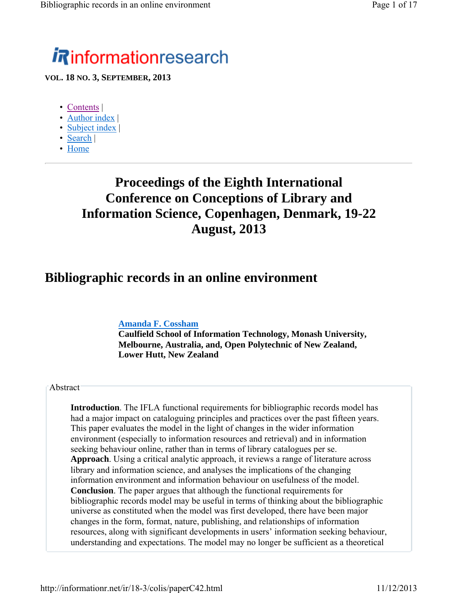# *i R*informationresearch

**VOL. 18 NO. 3, SEPTEMBER, 2013**

- Contents |
- Author index |
- Subject index |
- Search |
- Home

## **Proceedings of the Eighth International Conference on Conceptions of Library and Information Science, Copenhagen, Denmark, 19-22 August, 2013**

#### **Bibliographic records in an online environment**

#### **Amanda F. Cossham**

**Caulfield School of Information Technology, Monash University, Melbourne, Australia, and, Open Polytechnic of New Zealand, Lower Hutt, New Zealand**

#### Abstract

**Introduction**. The IFLA functional requirements for bibliographic records model has had a major impact on cataloguing principles and practices over the past fifteen years. This paper evaluates the model in the light of changes in the wider information environment (especially to information resources and retrieval) and in information seeking behaviour online, rather than in terms of library catalogues per se. **Approach**. Using a critical analytic approach, it reviews a range of literature across library and information science, and analyses the implications of the changing information environment and information behaviour on usefulness of the model. **Conclusion**. The paper argues that although the functional requirements for bibliographic records model may be useful in terms of thinking about the bibliographic universe as constituted when the model was first developed, there have been major changes in the form, format, nature, publishing, and relationships of information resources, along with significant developments in users' information seeking behaviour, understanding and expectations. The model may no longer be sufficient as a theoretical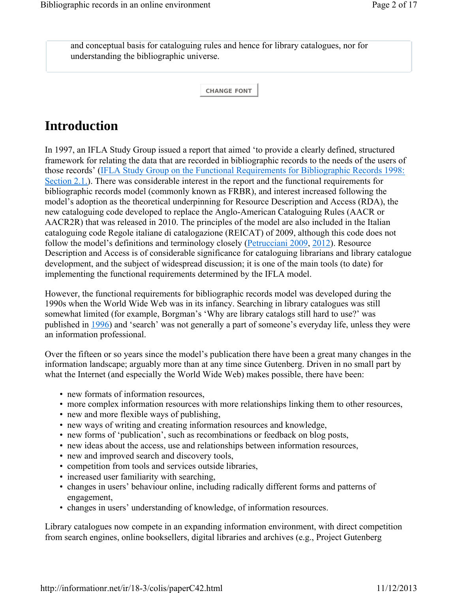and conceptual basis for cataloguing rules and hence for library catalogues, nor for understanding the bibliographic universe.

**CHANGE FONT**

## **Introduction**

In 1997, an IFLA Study Group issued a report that aimed 'to provide a clearly defined, structured framework for relating the data that are recorded in bibliographic records to the needs of the users of those records' (IFLA Study Group on the Functional Requirements for Bibliographic Records 1998: Section 2.1.). There was considerable interest in the report and the functional requirements for bibliographic records model (commonly known as FRBR), and interest increased following the model's adoption as the theoretical underpinning for Resource Description and Access (RDA), the new cataloguing code developed to replace the Anglo-American Cataloguing Rules (AACR or AACR2R) that was released in 2010. The principles of the model are also included in the Italian cataloguing code Regole italiane di catalogazione (REICAT) of 2009, although this code does not follow the model's definitions and terminology closely (Petrucciani 2009, 2012). Resource Description and Access is of considerable significance for cataloguing librarians and library catalogue development, and the subject of widespread discussion; it is one of the main tools (to date) for implementing the functional requirements determined by the IFLA model.

However, the functional requirements for bibliographic records model was developed during the 1990s when the World Wide Web was in its infancy. Searching in library catalogues was still somewhat limited (for example, Borgman's 'Why are library catalogs still hard to use?' was published in 1996) and 'search' was not generally a part of someone's everyday life, unless they were an information professional.

Over the fifteen or so years since the model's publication there have been a great many changes in the information landscape; arguably more than at any time since Gutenberg. Driven in no small part by what the Internet (and especially the World Wide Web) makes possible, there have been:

- new formats of information resources,
- more complex information resources with more relationships linking them to other resources,
- new and more flexible ways of publishing,
- new ways of writing and creating information resources and knowledge,
- new forms of 'publication', such as recombinations or feedback on blog posts,
- new ideas about the access, use and relationships between information resources,
- new and improved search and discovery tools,
- competition from tools and services outside libraries,
- increased user familiarity with searching,
- changes in users' behaviour online, including radically different forms and patterns of engagement,
- changes in users' understanding of knowledge, of information resources.

Library catalogues now compete in an expanding information environment, with direct competition from search engines, online booksellers, digital libraries and archives (e.g., Project Gutenberg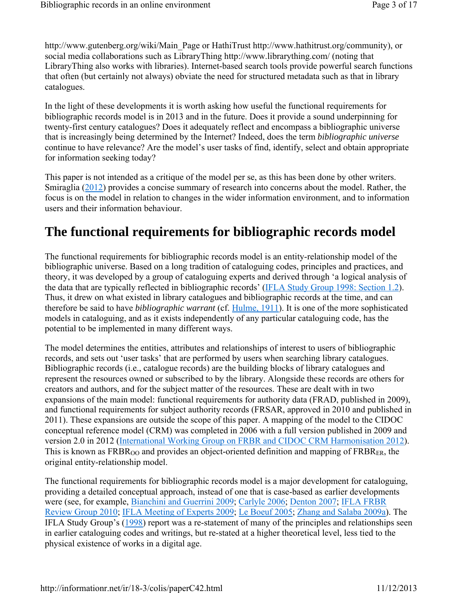http://www.gutenberg.org/wiki/Main\_Page or HathiTrust http://www.hathitrust.org/community), or social media collaborations such as LibraryThing http://www.librarything.com/ (noting that LibraryThing also works with libraries). Internet-based search tools provide powerful search functions that often (but certainly not always) obviate the need for structured metadata such as that in library catalogues.

In the light of these developments it is worth asking how useful the functional requirements for bibliographic records model is in 2013 and in the future. Does it provide a sound underpinning for twenty-first century catalogues? Does it adequately reflect and encompass a bibliographic universe that is increasingly being determined by the Internet? Indeed, does the term *bibliographic universe* continue to have relevance? Are the model's user tasks of find, identify, select and obtain appropriate for information seeking today?

This paper is not intended as a critique of the model per se, as this has been done by other writers. Smiraglia (2012) provides a concise summary of research into concerns about the model. Rather, the focus is on the model in relation to changes in the wider information environment, and to information users and their information behaviour.

#### **The functional requirements for bibliographic records model**

The functional requirements for bibliographic records model is an entity-relationship model of the bibliographic universe. Based on a long tradition of cataloguing codes, principles and practices, and theory, it was developed by a group of cataloguing experts and derived through 'a logical analysis of the data that are typically reflected in bibliographic records' (IFLA Study Group 1998: Section 1.2). Thus, it drew on what existed in library catalogues and bibliographic records at the time, and can therefore be said to have *bibliographic warrant* (cf. Hulme, 1911). It is one of the more sophisticated models in cataloguing, and as it exists independently of any particular cataloguing code, has the potential to be implemented in many different ways.

The model determines the entities, attributes and relationships of interest to users of bibliographic records, and sets out 'user tasks' that are performed by users when searching library catalogues. Bibliographic records (i.e., catalogue records) are the building blocks of library catalogues and represent the resources owned or subscribed to by the library. Alongside these records are others for creators and authors, and for the subject matter of the resources. These are dealt with in two expansions of the main model: functional requirements for authority data (FRAD, published in 2009), and functional requirements for subject authority records (FRSAR, approved in 2010 and published in 2011). These expansions are outside the scope of this paper. A mapping of the model to the CIDOC conceptual reference model (CRM) was completed in 2006 with a full version published in 2009 and version 2.0 in 2012 (International Working Group on FRBR and CIDOC CRM Harmonisation 2012). This is known as  $FRBR<sub>OO</sub>$  and provides an object-oriented definition and mapping of  $FRBR<sub>ER</sub>$ , the original entity-relationship model.

The functional requirements for bibliographic records model is a major development for cataloguing, providing a detailed conceptual approach, instead of one that is case-based as earlier developments were (see, for example, Bianchini and Guerrini 2009; Carlyle 2006; Denton 2007; IFLA FRBR Review Group 2010; IFLA Meeting of Experts 2009; Le Boeuf 2005; Zhang and Salaba 2009a). The IFLA Study Group's (1998) report was a re-statement of many of the principles and relationships seen in earlier cataloguing codes and writings, but re-stated at a higher theoretical level, less tied to the physical existence of works in a digital age.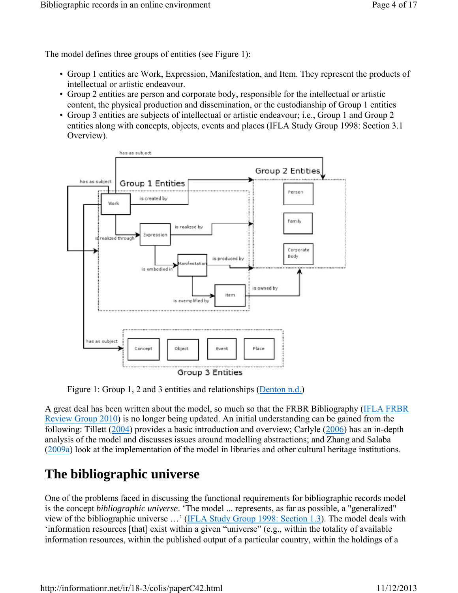The model defines three groups of entities (see Figure 1):

- Group 1 entities are Work, Expression, Manifestation, and Item. They represent the products of intellectual or artistic endeavour.
- Group 2 entities are person and corporate body, responsible for the intellectual or artistic content, the physical production and dissemination, or the custodianship of Group 1 entities
- Group 3 entities are subjects of intellectual or artistic endeavour; i.e., Group 1 and Group 2 entities along with concepts, objects, events and places (IFLA Study Group 1998: Section 3.1 Overview).



Figure 1: Group 1, 2 and 3 entities and relationships (Denton n.d.)

A great deal has been written about the model, so much so that the FRBR Bibliography (IFLA FRBR Review Group 2010) is no longer being updated. An initial understanding can be gained from the following: Tillett (2004) provides a basic introduction and overview; Carlyle (2006) has an in-depth analysis of the model and discusses issues around modelling abstractions; and Zhang and Salaba (2009a) look at the implementation of the model in libraries and other cultural heritage institutions.

## **The bibliographic universe**

One of the problems faced in discussing the functional requirements for bibliographic records model is the concept *bibliographic universe*. 'The model ... represents, as far as possible, a "generalized" view of the bibliographic universe …' (IFLA Study Group 1998: Section 1.3). The model deals with 'information resources [that] exist within a given "universe" (e.g., within the totality of available information resources, within the published output of a particular country, within the holdings of a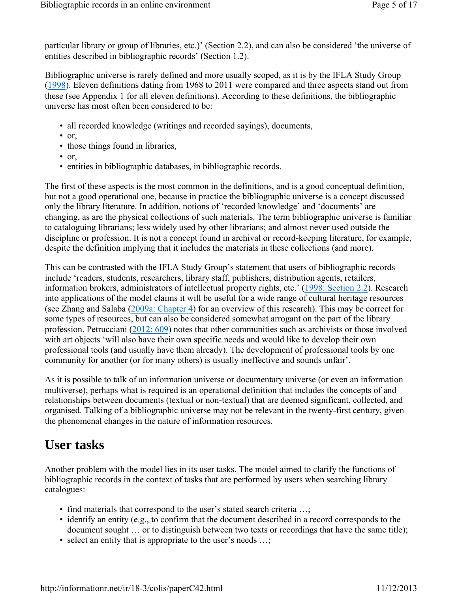particular library or group of libraries, etc.)' (Section 2.2), and can also be considered 'the universe of entities described in bibliographic records' (Section 1.2).

Bibliographic universe is rarely defined and more usually scoped, as it is by the IFLA Study Group (1998). Eleven definitions dating from 1968 to 2011 were compared and three aspects stand out from these (see Appendix 1 for all eleven definitions). According to these definitions, the bibliographic universe has most often been considered to be:

- all recorded knowledge (writings and recorded sayings), documents,
- or,
- those things found in libraries,
- or,
- entities in bibliographic databases, in bibliographic records.

The first of these aspects is the most common in the definitions, and is a good conceptual definition, but not a good operational one, because in practice the bibliographic universe is a concept discussed only the library literature. In addition, notions of 'recorded knowledge' and 'documents' are changing, as are the physical collections of such materials. The term bibliographic universe is familiar to cataloguing librarians; less widely used by other librarians; and almost never used outside the discipline or profession. It is not a concept found in archival or record-keeping literature, for example, despite the definition implying that it includes the materials in these collections (and more).

This can be contrasted with the IFLA Study Group's statement that users of bibliographic records include 'readers, students, researchers, library staff, publishers, distribution agents, retailers, information brokers, administrators of intellectual property rights, etc.' (1998: Section 2.2). Research into applications of the model claims it will be useful for a wide range of cultural heritage resources (see Zhang and Salaba (2009a: Chapter 4) for an overview of this research). This may be correct for some types of resources, but can also be considered somewhat arrogant on the part of the library profession. Petrucciani (2012: 609) notes that other communities such as archivists or those involved with art objects 'will also have their own specific needs and would like to develop their own professional tools (and usually have them already). The development of professional tools by one community for another (or for many others) is usually ineffective and sounds unfair'.

As it is possible to talk of an information universe or documentary universe (or even an information multiverse), perhaps what is required is an operational definition that includes the concepts of and relationships between documents (textual or non-textual) that are deemed significant, collected, and organised. Talking of a bibliographic universe may not be relevant in the twenty-first century, given the phenomenal changes in the nature of information resources.

#### **User tasks**

Another problem with the model lies in its user tasks. The model aimed to clarify the functions of bibliographic records in the context of tasks that are performed by users when searching library catalogues:

- find materials that correspond to the user's stated search criteria ...;
- identify an entity (e.g., to confirm that the document described in a record corresponds to the document sought … or to distinguish between two texts or recordings that have the same title);
- select an entity that is appropriate to the user's needs ...;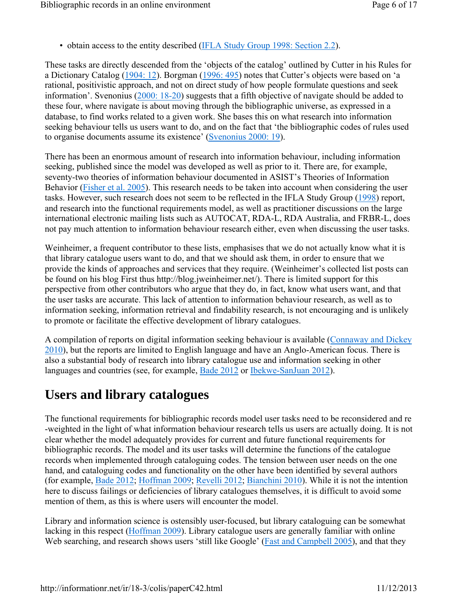• obtain access to the entity described (IFLA Study Group 1998: Section 2.2).

These tasks are directly descended from the 'objects of the catalog' outlined by Cutter in his Rules for a Dictionary Catalog (1904: 12). Borgman (1996: 495) notes that Cutter's objects were based on 'a rational, positivistic approach, and not on direct study of how people formulate questions and seek information'. Svenonius (2000: 18-20) suggests that a fifth objective of navigate should be added to these four, where navigate is about moving through the bibliographic universe, as expressed in a database, to find works related to a given work. She bases this on what research into information seeking behaviour tells us users want to do, and on the fact that 'the bibliographic codes of rules used to organise documents assume its existence' (Svenonius 2000: 19).

There has been an enormous amount of research into information behaviour, including information seeking, published since the model was developed as well as prior to it. There are, for example, seventy-two theories of information behaviour documented in ASIST's Theories of Information Behavior (Fisher et al. 2005). This research needs to be taken into account when considering the user tasks. However, such research does not seem to be reflected in the IFLA Study Group (1998) report, and research into the functional requirements model, as well as practitioner discussions on the large international electronic mailing lists such as AUTOCAT, RDA-L, RDA Australia, and FRBR-L, does not pay much attention to information behaviour research either, even when discussing the user tasks.

Weinheimer, a frequent contributor to these lists, emphasises that we do not actually know what it is that library catalogue users want to do, and that we should ask them, in order to ensure that we provide the kinds of approaches and services that they require. (Weinheimer's collected list posts can be found on his blog First thus http://blog.jweinheimer.net/). There is limited support for this perspective from other contributors who argue that they do, in fact, know what users want, and that the user tasks are accurate. This lack of attention to information behaviour research, as well as to information seeking, information retrieval and findability research, is not encouraging and is unlikely to promote or facilitate the effective development of library catalogues.

A compilation of reports on digital information seeking behaviour is available (Connaway and Dickey 2010), but the reports are limited to English language and have an Anglo-American focus. There is also a substantial body of research into library catalogue use and information seeking in other languages and countries (see, for example, Bade 2012 or Ibekwe-SanJuan 2012).

#### **Users and library catalogues**

The functional requirements for bibliographic records model user tasks need to be reconsidered and re -weighted in the light of what information behaviour research tells us users are actually doing. It is not clear whether the model adequately provides for current and future functional requirements for bibliographic records. The model and its user tasks will determine the functions of the catalogue records when implemented through cataloguing codes. The tension between user needs on the one hand, and cataloguing codes and functionality on the other have been identified by several authors (for example, Bade 2012; Hoffman 2009; Revelli 2012; Bianchini 2010). While it is not the intention here to discuss failings or deficiencies of library catalogues themselves, it is difficult to avoid some mention of them, as this is where users will encounter the model.

Library and information science is ostensibly user-focused, but library cataloguing can be somewhat lacking in this respect (Hoffman 2009). Library catalogue users are generally familiar with online Web searching, and research shows users 'still like Google' (Fast and Campbell 2005), and that they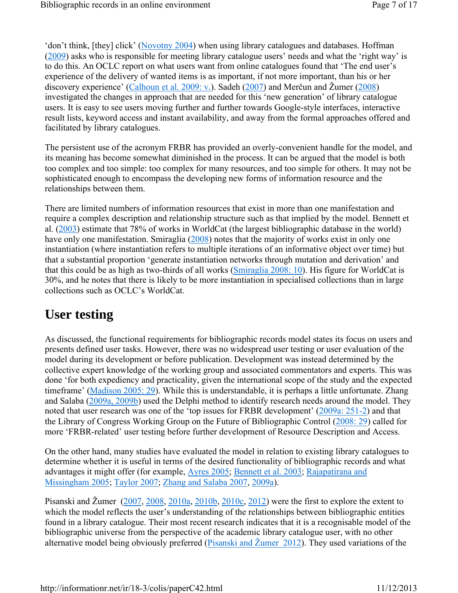'don't think, [they] click' (Novotny 2004) when using library catalogues and databases. Hoffman (2009) asks who is responsible for meeting library catalogue users' needs and what the 'right way' is to do this. An OCLC report on what users want from online catalogues found that 'The end user's experience of the delivery of wanted items is as important, if not more important, than his or her discovery experience' (Calhoun et al. 2009: v.). Sadeh (2007) and Merčun and Žumer (2008) investigated the changes in approach that are needed for this 'new generation' of library catalogue users. It is easy to see users moving further and further towards Google-style interfaces, interactive result lists, keyword access and instant availability, and away from the formal approaches offered and facilitated by library catalogues.

The persistent use of the acronym FRBR has provided an overly-convenient handle for the model, and its meaning has become somewhat diminished in the process. It can be argued that the model is both too complex and too simple: too complex for many resources, and too simple for others. It may not be sophisticated enough to encompass the developing new forms of information resource and the relationships between them.

There are limited numbers of information resources that exist in more than one manifestation and require a complex description and relationship structure such as that implied by the model. Bennett et al. (2003) estimate that 78% of works in WorldCat (the largest bibliographic database in the world) have only one manifestation. Smiraglia (2008) notes that the majority of works exist in only one instantiation (where instantiation refers to multiple iterations of an informative object over time) but that a substantial proportion 'generate instantiation networks through mutation and derivation' and that this could be as high as two-thirds of all works (Smiraglia 2008: 10). His figure for WorldCat is 30%, and he notes that there is likely to be more instantiation in specialised collections than in large collections such as OCLC's WorldCat.

#### **User testing**

As discussed, the functional requirements for bibliographic records model states its focus on users and presents defined user tasks. However, there was no widespread user testing or user evaluation of the model during its development or before publication. Development was instead determined by the collective expert knowledge of the working group and associated commentators and experts. This was done 'for both expediency and practicality, given the international scope of the study and the expected timeframe' (Madison 2005: 29). While this is understandable, it is perhaps a little unfortunate. Zhang and Salaba (2009a, 2009b) used the Delphi method to identify research needs around the model. They noted that user research was one of the 'top issues for FRBR development' (2009a: 251-2) and that the Library of Congress Working Group on the Future of Bibliographic Control (2008: 29) called for more 'FRBR-related' user testing before further development of Resource Description and Access.

On the other hand, many studies have evaluated the model in relation to existing library catalogues to determine whether it is useful in terms of the desired functionality of bibliographic records and what advantages it might offer (for example, Ayres 2005; Bennett et al. 2003; Rajapatirana and Missingham 2005; Taylor 2007; Zhang and Salaba 2007, 2009a).

Pisanski and Žumer (2007, 2008, 2010a, 2010b, 2010c, 2012) were the first to explore the extent to which the model reflects the user's understanding of the relationships between bibliographic entities found in a library catalogue. Their most recent research indicates that it is a recognisable model of the bibliographic universe from the perspective of the academic library catalogue user, with no other alternative model being obviously preferred (Pisanski and Žumer 2012). They used variations of the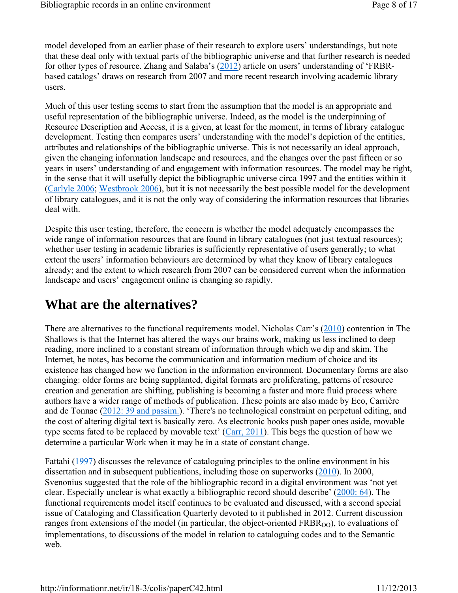model developed from an earlier phase of their research to explore users' understandings, but note that these deal only with textual parts of the bibliographic universe and that further research is needed for other types of resource. Zhang and Salaba's (2012) article on users' understanding of 'FRBRbased catalogs' draws on research from 2007 and more recent research involving academic library users.

Much of this user testing seems to start from the assumption that the model is an appropriate and useful representation of the bibliographic universe. Indeed, as the model is the underpinning of Resource Description and Access, it is a given, at least for the moment, in terms of library catalogue development. Testing then compares users' understanding with the model's depiction of the entities, attributes and relationships of the bibliographic universe. This is not necessarily an ideal approach, given the changing information landscape and resources, and the changes over the past fifteen or so years in users' understanding of and engagement with information resources. The model may be right, in the sense that it will usefully depict the bibliographic universe circa 1997 and the entities within it (Carlyle 2006; Westbrook 2006), but it is not necessarily the best possible model for the development of library catalogues, and it is not the only way of considering the information resources that libraries deal with.

Despite this user testing, therefore, the concern is whether the model adequately encompasses the wide range of information resources that are found in library catalogues (not just textual resources); whether user testing in academic libraries is sufficiently representative of users generally; to what extent the users' information behaviours are determined by what they know of library catalogues already; and the extent to which research from 2007 can be considered current when the information landscape and users' engagement online is changing so rapidly.

#### **What are the alternatives?**

There are alternatives to the functional requirements model. Nicholas Carr's (2010) contention in The Shallows is that the Internet has altered the ways our brains work, making us less inclined to deep reading, more inclined to a constant stream of information through which we dip and skim. The Internet, he notes, has become the communication and information medium of choice and its existence has changed how we function in the information environment. Documentary forms are also changing: older forms are being supplanted, digital formats are proliferating, patterns of resource creation and generation are shifting, publishing is becoming a faster and more fluid process where authors have a wider range of methods of publication. These points are also made by Eco, Carrière and de Tonnac (2012: 39 and passim.). 'There's no technological constraint on perpetual editing, and the cost of altering digital text is basically zero. As electronic books push paper ones aside, movable type seems fated to be replaced by movable text' (Carr, 2011). This begs the question of how we determine a particular Work when it may be in a state of constant change.

Fattahi (1997) discusses the relevance of cataloguing principles to the online environment in his dissertation and in subsequent publications, including those on superworks (2010). In 2000, Svenonius suggested that the role of the bibliographic record in a digital environment was 'not yet clear. Especially unclear is what exactly a bibliographic record should describe' (2000: 64). The functional requirements model itself continues to be evaluated and discussed, with a second special issue of Cataloging and Classification Quarterly devoted to it published in 2012. Current discussion ranges from extensions of the model (in particular, the object-oriented  $FRBR<sub>OO</sub>$ ), to evaluations of implementations, to discussions of the model in relation to cataloguing codes and to the Semantic web.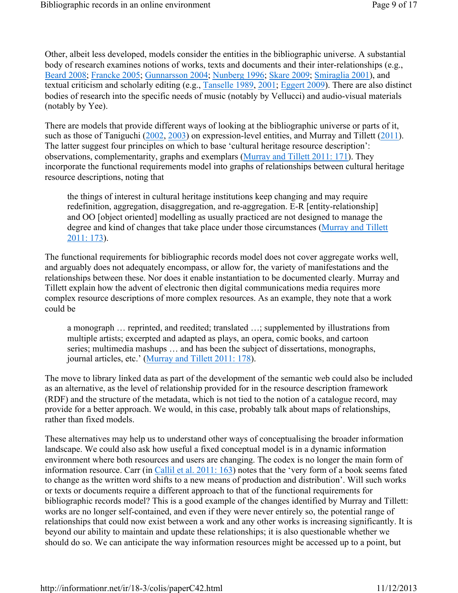Other, albeit less developed, models consider the entities in the bibliographic universe. A substantial body of research examines notions of works, texts and documents and their inter-relationships (e.g., Beard 2008; Francke 2005; Gunnarsson 2004; Nunberg 1996; Skare 2009; Smiraglia 2001), and textual criticism and scholarly editing (e.g., Tanselle 1989, 2001; Eggert 2009). There are also distinct bodies of research into the specific needs of music (notably by Vellucci) and audio-visual materials (notably by Yee).

There are models that provide different ways of looking at the bibliographic universe or parts of it, such as those of Taniguchi (2002, 2003) on expression-level entities, and Murray and Tillett (2011). The latter suggest four principles on which to base 'cultural heritage resource description': observations, complementarity, graphs and exemplars (Murray and Tillett 2011: 171). They incorporate the functional requirements model into graphs of relationships between cultural heritage resource descriptions, noting that

the things of interest in cultural heritage institutions keep changing and may require redefinition, aggregation, disaggregation, and re-aggregation. E-R [entity-relationship] and OO [object oriented] modelling as usually practiced are not designed to manage the degree and kind of changes that take place under those circumstances (Murray and Tillett 2011: 173).

The functional requirements for bibliographic records model does not cover aggregate works well, and arguably does not adequately encompass, or allow for, the variety of manifestations and the relationships between these. Nor does it enable instantiation to be documented clearly. Murray and Tillett explain how the advent of electronic then digital communications media requires more complex resource descriptions of more complex resources. As an example, they note that a work could be

a monograph … reprinted, and reedited; translated …; supplemented by illustrations from multiple artists; excerpted and adapted as plays, an opera, comic books, and cartoon series; multimedia mashups … and has been the subject of dissertations, monographs, journal articles, etc.' (Murray and Tillett 2011: 178).

The move to library linked data as part of the development of the semantic web could also be included as an alternative, as the level of relationship provided for in the resource description framework (RDF) and the structure of the metadata, which is not tied to the notion of a catalogue record, may provide for a better approach. We would, in this case, probably talk about maps of relationships, rather than fixed models.

These alternatives may help us to understand other ways of conceptualising the broader information landscape. We could also ask how useful a fixed conceptual model is in a dynamic information environment where both resources and users are changing. The codex is no longer the main form of information resource. Carr (in Callil et al. 2011: 163) notes that the 'very form of a book seems fated to change as the written word shifts to a new means of production and distribution'. Will such works or texts or documents require a different approach to that of the functional requirements for bibliographic records model? This is a good example of the changes identified by Murray and Tillett: works are no longer self-contained, and even if they were never entirely so, the potential range of relationships that could now exist between a work and any other works is increasing significantly. It is beyond our ability to maintain and update these relationships; it is also questionable whether we should do so. We can anticipate the way information resources might be accessed up to a point, but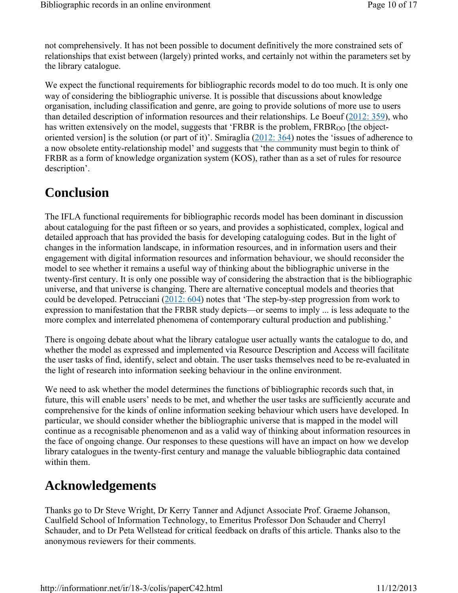not comprehensively. It has not been possible to document definitively the more constrained sets of relationships that exist between (largely) printed works, and certainly not within the parameters set by the library catalogue.

We expect the functional requirements for bibliographic records model to do too much. It is only one way of considering the bibliographic universe. It is possible that discussions about knowledge organisation, including classification and genre, are going to provide solutions of more use to users than detailed description of information resources and their relationships. Le Boeuf (2012: 359), who has written extensively on the model, suggests that 'FRBR is the problem,  $FRBR_{OO}$  [the objectoriented version] is the solution (or part of it)'. Smiraglia (2012: 364) notes the 'issues of adherence to a now obsolete entity-relationship model' and suggests that 'the community must begin to think of FRBR as a form of knowledge organization system (KOS), rather than as a set of rules for resource description'.

#### **Conclusion**

The IFLA functional requirements for bibliographic records model has been dominant in discussion about cataloguing for the past fifteen or so years, and provides a sophisticated, complex, logical and detailed approach that has provided the basis for developing cataloguing codes. But in the light of changes in the information landscape, in information resources, and in information users and their engagement with digital information resources and information behaviour, we should reconsider the model to see whether it remains a useful way of thinking about the bibliographic universe in the twenty-first century. It is only one possible way of considering the abstraction that is the bibliographic universe, and that universe is changing. There are alternative conceptual models and theories that could be developed. Petrucciani (2012: 604) notes that 'The step-by-step progression from work to expression to manifestation that the FRBR study depicts—or seems to imply ... is less adequate to the more complex and interrelated phenomena of contemporary cultural production and publishing.'

There is ongoing debate about what the library catalogue user actually wants the catalogue to do, and whether the model as expressed and implemented via Resource Description and Access will facilitate the user tasks of find, identify, select and obtain. The user tasks themselves need to be re-evaluated in the light of research into information seeking behaviour in the online environment.

We need to ask whether the model determines the functions of bibliographic records such that, in future, this will enable users' needs to be met, and whether the user tasks are sufficiently accurate and comprehensive for the kinds of online information seeking behaviour which users have developed. In particular, we should consider whether the bibliographic universe that is mapped in the model will continue as a recognisable phenomenon and as a valid way of thinking about information resources in the face of ongoing change. Our responses to these questions will have an impact on how we develop library catalogues in the twenty-first century and manage the valuable bibliographic data contained within them.

#### **Acknowledgements**

Thanks go to Dr Steve Wright, Dr Kerry Tanner and Adjunct Associate Prof. Graeme Johanson, Caulfield School of Information Technology, to Emeritus Professor Don Schauder and Cherryl Schauder, and to Dr Peta Wellstead for critical feedback on drafts of this article. Thanks also to the anonymous reviewers for their comments.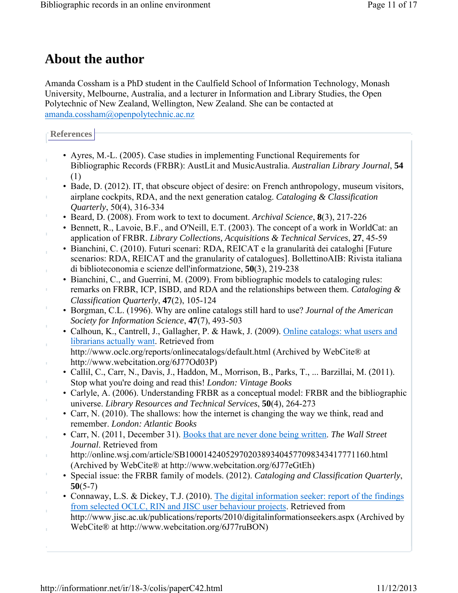#### **About the author**

Amanda Cossham is a PhD student in the Caulfield School of Information Technology, Monash University, Melbourne, Australia, and a lecturer in Information and Library Studies, the Open Polytechnic of New Zealand, Wellington, New Zealand. She can be contacted at amanda.cossham@openpolytechnic.ac.nz

**References**

J.

Ì.

Ì.

- Ayres, M.-L. (2005). Case studies in implementing Functional Requirements for Bibliographic Records (FRBR): AustLit and MusicAustralia. *Australian Library Journal*, **54** (1)
- Bade, D. (2012). IT, that obscure object of desire: on French anthropology, museum visitors, airplane cockpits, RDA, and the next generation catalog. *Cataloging & Classification Quarterly*, 50(4), 316-334
- Beard, D. (2008). From work to text to document. *Archival Science*, **8**(3), 217-226
- Bennett, R., Lavoie, B.F., and O'Neill, E.T. (2003). The concept of a work in WorldCat: an application of FRBR. *Library Collections, Acquisitions & Technical Services*, **27**, 45-59
- Bianchini, C. (2010). Futuri scenari: RDA, REICAT e la granularità dei cataloghi [Future scenarios: RDA, REICAT and the granularity of catalogues]. BollettinoAIB: Rivista italiana di biblioteconomia e scienze dell'informatzione, **50**(3), 219-238
- Bianchini, C., and Guerrini, M. (2009). From bibliographic models to cataloging rules: remarks on FRBR, ICP, ISBD, and RDA and the relationships between them. *Cataloging & Classification Quarterly*, **47**(2), 105-124
- Borgman, C.L. (1996). Why are online catalogs still hard to use? *Journal of the American Society for Information Science*, **47**(7), 493-503
- Calhoun, K., Cantrell, J., Gallagher, P. & Hawk, J. (2009). Online catalogs: what users and librarians actually want. Retrieved from http://www.oclc.org/reports/onlinecatalogs/default.html (Archived by WebCite® at
- http://www.webcitation.org/6J77Od03P)
- Callil, C., Carr, N., Davis, J., Haddon, M., Morrison, B., Parks, T., ... Barzillai, M. (2011). Stop what you're doing and read this! *London: Vintage Books*
- Carlyle, A. (2006). Understanding FRBR as a conceptual model: FRBR and the bibliographic universe. *Library Resources and Technical Services*, **50**(4), 264-273
- Carr, N. (2010). The shallows: how the internet is changing the way we think, read and remember. *London: Atlantic Books*
- Carr, N. (2011, December 31). Books that are never done being written. *The Wall Street Journal*. Retrieved from
- http://online.wsj.com/article/SB10001424052970203893404577098343417771160.html (Archived by WebCite® at http://www.webcitation.org/6J77eGtEh)
- Special issue: the FRBR family of models. (2012). *Cataloging and Classification Quarterly*, **50**(5-7)
- Connaway, L.S. & Dickey, T.J. (2010). The digital information seeker: report of the findings from selected OCLC, RIN and JISC user behaviour projects. Retrieved from
- http://www.jisc.ac.uk/publications/reports/2010/digitalinformationseekers.aspx (Archived by WebCite® at http://www.webcitation.org/6J77ruBON)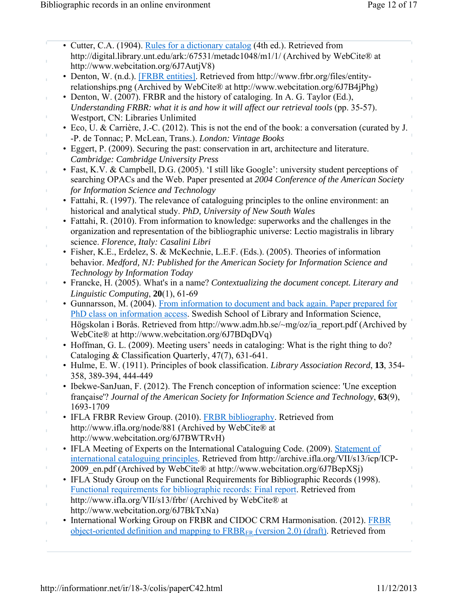| • Cutter, C.A. (1904). Rules for a dictionary catalog (4th ed.). Retrieved from                                |
|----------------------------------------------------------------------------------------------------------------|
| http://digital.library.unt.edu/ark:/67531/metadc1048/m1/1/ (Archived by WebCite® at                            |
| http://www.webcitation.org/6J7AutjV8)                                                                          |
| • Denton, W. (n.d.). [FRBR entities]. Retrieved from http://www.frbr.org/files/entity-                         |
| relationships.png (Archived by WebCite® at http://www.webcitation.org/6J7B4jPhg)                               |
| • Denton, W. (2007). FRBR and the history of cataloging. In A. G. Taylor (Ed.),                                |
| Understanding FRBR: what it is and how it will affect our retrieval tools (pp. 35-57).                         |
|                                                                                                                |
| Westport, CN: Libraries Unlimited                                                                              |
| • Eco, U. & Carrière, J.-C. (2012). This is not the end of the book: a conversation (curated by J.             |
| -P. de Tonnac; P. McLean, Trans.). London: Vintage Books                                                       |
| • Eggert, P. (2009). Securing the past: conservation in art, architecture and literature.                      |
| Cambridge: Cambridge University Press                                                                          |
| • Fast, K.V. & Campbell, D.G. (2005). 'I still like Google': university student perceptions of                 |
| searching OPACs and the Web. Paper presented at 2004 Conference of the American Society                        |
| for Information Science and Technology                                                                         |
| • Fattahi, R. (1997). The relevance of cataloguing principles to the online environment: an                    |
|                                                                                                                |
| historical and analytical study. PhD, University of New South Wales                                            |
| • Fattahi, R. (2010). From information to knowledge: superworks and the challenges in the                      |
| organization and representation of the bibliographic universe: Lectio magistralis in library                   |
| science. Florence, Italy: Casalini Libri                                                                       |
| · Fisher, K.E., Erdelez, S. & McKechnie, L.E.F. (Eds.). (2005). Theories of information                        |
| behavior. Medford, NJ: Published for the American Society for Information Science and                          |
| Technology by Information Today                                                                                |
| • Francke, H. (2005). What's in a name? Contextualizing the document concept. Literary and                     |
| Linguistic Computing, $20(1)$ , 61-69                                                                          |
|                                                                                                                |
| • Gunnarsson, M. (2004). From information to document and back again. Paper prepared for                       |
| PhD class on information access. Swedish School of Library and Information Science,                            |
| Högskolan i Borås. Retrieved from http://www.adm.hb.se/~mg/oz/ia_report.pdf (Archived by                       |
| WebCite® at http://www.webcitation.org/6J7BDqDVq)                                                              |
| • Hoffman, G. L. (2009). Meeting users' needs in cataloging: What is the right thing to do?                    |
| Cataloging & Classification Quarterly, 47(7), 631-641.                                                         |
| • Hulme, E. W. (1911). Principles of book classification. Library Association Record, 13, 354-                 |
| 358, 389-394, 444-449                                                                                          |
| Ibekwe-SanJuan, F. (2012). The French conception of information science: 'Une exception                        |
| française'? Journal of the American Society for Information Science and Technology, 63(9),                     |
| 1693-1709                                                                                                      |
|                                                                                                                |
| • IFLA FRBR Review Group. (2010). FRBR bibliography. Retrieved from                                            |
| http://www.ifla.org/node/881 (Archived by WebCite® at                                                          |
| http://www.webcitation.org/6J7BWTRvH)                                                                          |
| • IFLA Meeting of Experts on the International Cataloguing Code. (2009). Statement of                          |
| international cataloguing principles. Retrieved from http://archive.ifla.org/VII/s13/icp/ICP-                  |
| 2009 en.pdf (Archived by WebCite® at http://www.webcitation.org/6J7BepXSj)                                     |
| • IFLA Study Group on the Functional Requirements for Bibliographic Records (1998).                            |
| <b>Functional requirements for bibliographic records: Final report. Retrieved from</b>                         |
|                                                                                                                |
| http://www.ifla.org/VII/s13/frbr/ (Archived by WebCite® at                                                     |
| http://www.webcitation.org/6J7BkTxNa)                                                                          |
| • International Working Group on FRBR and CIDOC CRM Harmonisation. (2012). FRBR                                |
| <u>object-oriented definition and mapping to <math>FRBR_{ER}</math> (version 2.0) (draft)</u> . Retrieved from |
|                                                                                                                |
|                                                                                                                |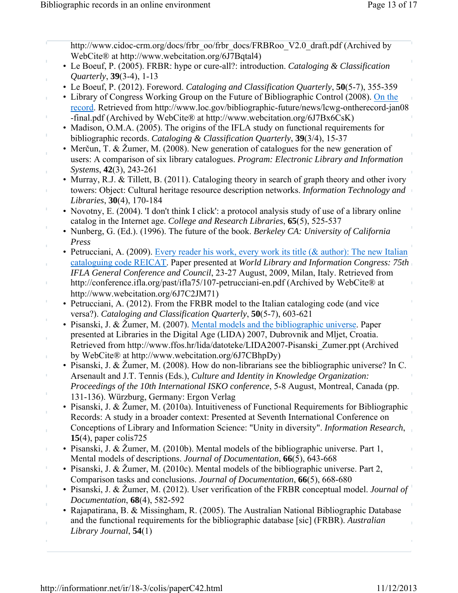| http://www.cidoc-crm.org/docs/frbr_oo/frbr_docs/FRBRoo_V2.0_draft.pdf (Archived by                                                                                                |
|-----------------------------------------------------------------------------------------------------------------------------------------------------------------------------------|
| WebCite® at http://www.webcitation.org/6J7Bqtal4)<br>• Le Boeuf, P. (2005). FRBR: hype or cure-all?: introduction. Cataloging & Classification                                    |
| <i>Quarterly</i> , 39(3-4), 1-13                                                                                                                                                  |
| • Le Boeuf, P. (2012). Foreword. Cataloging and Classification Quarterly, 50(5-7), 355-359                                                                                        |
| • Library of Congress Working Group on the Future of Bibliographic Control (2008). On the                                                                                         |
| record. Retrieved from http://www.loc.gov/bibliographic-future/news/lcwg-ontherecord-jan08                                                                                        |
| -final.pdf (Archived by WebCite® at http://www.webcitation.org/6J7Bx6CsK)                                                                                                         |
| • Madison, O.M.A. (2005). The origins of the IFLA study on functional requirements for                                                                                            |
| bibliographic records. Cataloging & Classification Quarterly, 39(3/4), 15-37<br>• Merčun, T. & Žumer, M. (2008). New generation of catalogues for the new generation of           |
| users: A comparison of six library catalogues. Program: Electronic Library and Information                                                                                        |
| Systems, 42(3), 243-261                                                                                                                                                           |
| • Murray, R.J. & Tillett, B. (2011). Cataloging theory in search of graph theory and other ivory                                                                                  |
| towers: Object: Cultural heritage resource description networks. Information Technology and                                                                                       |
| Libraries, 30(4), 170-184                                                                                                                                                         |
| • Novotny, E. (2004). 'I don't think I click': a protocol analysis study of use of a library online                                                                               |
| catalog in the Internet age. College and Research Libraries, 65(5), 525-537                                                                                                       |
| • Nunberg, G. (Ed.). (1996). The future of the book. Berkeley CA: University of California                                                                                        |
| Press                                                                                                                                                                             |
| • Petrucciani, A. (2009). Every reader his work, every work its title (& author): The new Italian                                                                                 |
| cataloguing code REICAT. Paper presented at World Library and Information Congress: 75th<br>IFLA General Conference and Council, 23-27 August, 2009, Milan, Italy. Retrieved from |
| http://conference.ifla.org/past/ifla75/107-petrucciani-en.pdf (Archived by WebCite® at                                                                                            |
| http://www.webcitation.org/6J7C2JM71)                                                                                                                                             |
| • Petrucciani, A. (2012). From the FRBR model to the Italian cataloging code (and vice                                                                                            |
| versa?). Cataloging and Classification Quarterly, 50(5-7), 603-621                                                                                                                |
| • Pisanski, J. & Žumer, M. (2007). Mental models and the bibliographic universe. Paper                                                                                            |
| presented at Libraries in the Digital Age (LIDA) 2007, Dubrovnik and Mljet, Croatia.                                                                                              |
| Retrieved from http://www.ffos.hr/lida/datoteke/LIDA2007-Pisanski Zumer.ppt (Archived                                                                                             |
| by WebCite® at http://www.webcitation.org/6J7CBhpDy)<br>• Pisanski, J. & Žumer, M. (2008). How do non-librarians see the bibliographic universe? In C.                            |
| Arsenault and J.T. Tennis (Eds.), Culture and Identity in Knowledge Organization:                                                                                                 |
| Proceedings of the 10th International ISKO conference, 5-8 August, Montreal, Canada (pp.                                                                                          |
| 131-136). Würzburg, Germany: Ergon Verlag                                                                                                                                         |
| • Pisanski, J. & Žumer, M. (2010a). Intuitiveness of Functional Requirements for Bibliographic                                                                                    |
| Records: A study in a broader context: Presented at Seventh International Conference on                                                                                           |
| Conceptions of Library and Information Science: "Unity in diversity". Information Research,                                                                                       |
| 15(4), paper colis $725$                                                                                                                                                          |
| • Pisanski, J. & Žumer, M. (2010b). Mental models of the bibliographic universe. Part 1,                                                                                          |
| Mental models of descriptions. Journal of Documentation, 66(5), 643-668                                                                                                           |
| • Pisanski, J. & Žumer, M. (2010c). Mental models of the bibliographic universe. Part 2,                                                                                          |
| Comparison tasks and conclusions. Journal of Documentation, 66(5), 668-680<br>• Pisanski, J. & Žumer, M. (2012). User verification of the FRBR conceptual model. Journal of       |
| Documentation, 68(4), 582-592                                                                                                                                                     |
| • Rajapatirana, B. & Missingham, R. (2005). The Australian National Bibliographic Database                                                                                        |
| and the functional requirements for the bibliographic database [sic] (FRBR). Australian                                                                                           |
| Library Journal, $54(1)$                                                                                                                                                          |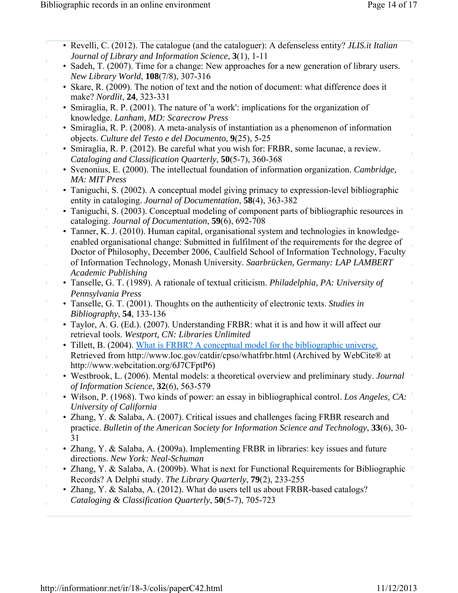|                | • Revelli, C. (2012). The catalogue (and the cataloguer): A defenseless entity? JLIS.it Italian<br>Journal of Library and Information Science, 3(1), 1-11                                   |
|----------------|---------------------------------------------------------------------------------------------------------------------------------------------------------------------------------------------|
|                | • Sadeh, T. (2007). Time for a change: New approaches for a new generation of library users.<br>New Library World, 108(7/8), 307-316                                                        |
|                | • Skare, R. (2009). The notion of text and the notion of document: what difference does it<br>make? Nordlit, 24, 323-331                                                                    |
|                | • Smiraglia, R. P. (2001). The nature of 'a work': implications for the organization of                                                                                                     |
|                | knowledge. Lanham, MD: Scarecrow Press<br>• Smiraglia, R. P. (2008). A meta-analysis of instantiation as a phenomenon of information                                                        |
| $\bar{\Gamma}$ | objects. Culture del Testo e del Documento, 9(25), 5-25<br>• Smiraglia, R. P. (2012). Be careful what you wish for: FRBR, some lacunae, a review.                                           |
|                | Cataloging and Classification Quarterly, 50(5-7), 360-368<br>• Svenonius, E. (2000). The intellectual foundation of information organization. Cambridge,                                    |
|                | MA: MIT Press<br>• Taniguchi, S. (2002). A conceptual model giving primacy to expression-level bibliographic                                                                                |
| T,             | entity in cataloging. Journal of Documentation, 58(4), 363-382<br>• Taniguchi, S. (2003). Conceptual modeling of component parts of bibliographic resources in                              |
|                | cataloging. Journal of Documentation, 59(6), 692-708                                                                                                                                        |
|                | • Tanner, K. J. (2010). Human capital, organisational system and technologies in knowledge-<br>enabled organisational change: Submitted in fulfilment of the requirements for the degree of |
|                | Doctor of Philosophy, December 2006, Caulfield School of Information Technology, Faculty<br>of Information Technology, Monash University. Saarbrücken, Germany: LAP LAMBERT                 |
| T,             | <b>Academic Publishing</b><br>• Tanselle, G. T. (1989). A rationale of textual criticism. Philadelphia, PA: University of                                                                   |
| J,             | Pennsylvania Press<br>• Tanselle, G. T. (2001). Thoughts on the authenticity of electronic texts. Studies in                                                                                |
|                | Bibliography, 54, 133-136<br>• Taylor, A. G. (Ed.). (2007). Understanding FRBR: what it is and how it will affect our                                                                       |
|                | retrieval tools. Westport, CN: Libraries Unlimited<br>• Tillett, B. (2004). What is FRBR? A conceptual model for the bibliographic universe.                                                |
|                | Retrieved from http://www.loc.gov/catdir/cpso/whatfrbr.html (Archived by WebCite® at<br>http://www.webcitation.org/6J7CFptP6)                                                               |
|                | • Westbrook, L. (2006). Mental models: a theoretical overview and preliminary study. Journal<br>of Information Science, 32(6), 563-579                                                      |
|                | • Wilson, P. (1968). Two kinds of power: an essay in bibliographical control. Los Angeles, CA:<br>University of California                                                                  |
|                | • Zhang, Y. & Salaba, A. (2007). Critical issues and challenges facing FRBR research and                                                                                                    |
|                | practice. Bulletin of the American Society for Information Science and Technology, 33(6), 30-<br>31                                                                                         |
| I.             | • Zhang, Y. & Salaba, A. (2009a). Implementing FRBR in libraries: key issues and future<br>directions. New York: Neal-Schuman                                                               |
|                | • Zhang, Y. & Salaba, A. (2009b). What is next for Functional Requirements for Bibliographic<br>Records? A Delphi study. The Library Quarterly, 79(2), 233-255                              |
|                | • Zhang, Y. & Salaba, A. (2012). What do users tell us about FRBR-based catalogs?<br>Cataloging & Classification Quarterly, 50(5-7), 705-723                                                |
|                |                                                                                                                                                                                             |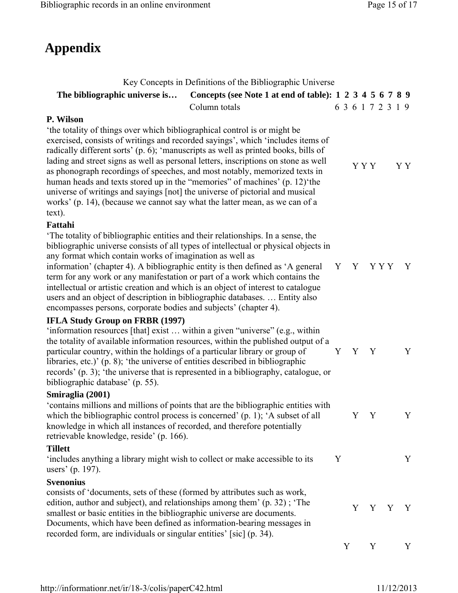# **Appendix**

|                                                                                                                                                                                                                                                                                                                                                                                                                                                                                                                                                    | Key Concepts in Definitions of the Bibliographic Universe                                                                                                                                                                                                   |   |                   |       |   |       |              |
|----------------------------------------------------------------------------------------------------------------------------------------------------------------------------------------------------------------------------------------------------------------------------------------------------------------------------------------------------------------------------------------------------------------------------------------------------------------------------------------------------------------------------------------------------|-------------------------------------------------------------------------------------------------------------------------------------------------------------------------------------------------------------------------------------------------------------|---|-------------------|-------|---|-------|--------------|
| The bibliographic universe is                                                                                                                                                                                                                                                                                                                                                                                                                                                                                                                      | Concepts (see Note 1 at end of table): 1 2 3 4 5 6 7 8 9                                                                                                                                                                                                    |   |                   |       |   |       |              |
|                                                                                                                                                                                                                                                                                                                                                                                                                                                                                                                                                    | Column totals                                                                                                                                                                                                                                               |   | 6 3 6 1 7 2 3 1 9 |       |   |       |              |
| P. Wilson                                                                                                                                                                                                                                                                                                                                                                                                                                                                                                                                          |                                                                                                                                                                                                                                                             |   |                   |       |   |       |              |
| the totality of things over which bibliographical control is or might be<br>as phonograph recordings of speeches, and most notably, memorized texts in<br>human heads and texts stored up in the "memories" of machines' (p. 12) the<br>universe of writings and sayings [not] the universe of pictorial and musical<br>works' (p. 14), (because we cannot say what the latter mean, as we can of a<br>text).                                                                                                                                      | exercised, consists of writings and recorded sayings', which 'includes items of<br>radically different sorts' (p. 6); 'manuscripts as well as printed books, bills of<br>lading and street signs as well as personal letters, inscriptions on stone as well |   |                   | Y Y Y |   |       | Y Y          |
| Fattahi                                                                                                                                                                                                                                                                                                                                                                                                                                                                                                                                            |                                                                                                                                                                                                                                                             |   |                   |       |   |       |              |
| The totality of bibliographic entities and their relationships. In a sense, the<br>any format which contain works of imagination as well as<br>information' (chapter 4). A bibliographic entity is then defined as 'A general<br>term for any work or any manifestation or part of a work which contains the<br>intellectual or artistic creation and which is an object of interest to catalogue<br>users and an object of description in bibliographic databases Entity also<br>encompasses persons, corporate bodies and subjects' (chapter 4). | bibliographic universe consists of all types of intellectual or physical objects in                                                                                                                                                                         |   | Y Y YYY           |       |   |       | $\mathbf{Y}$ |
| <b>IFLA Study Group on FRBR (1997)</b><br>'information resources [that] exist  within a given "universe" (e.g., within<br>particular country, within the holdings of a particular library or group of<br>libraries, etc.)' (p. 8); 'the universe of entities described in bibliographic<br>bibliographic database' (p. 55).                                                                                                                                                                                                                        | the totality of available information resources, within the published output of a<br>records' (p. 3); 'the universe that is represented in a bibliography, catalogue, or                                                                                    |   | Y Y Y             |       |   |       | Y            |
| Smiraglia (2001)                                                                                                                                                                                                                                                                                                                                                                                                                                                                                                                                   |                                                                                                                                                                                                                                                             |   |                   |       |   |       |              |
| which the bibliographic control process is concerned' $(p, 1)$ ; 'A subset of all<br>knowledge in which all instances of recorded, and therefore potentially<br>retrievable knowledge, reside' (p. 166).                                                                                                                                                                                                                                                                                                                                           | 'contains millions and millions of points that are the bibliographic entities with                                                                                                                                                                          |   |                   | Y Y   |   |       | Y            |
| <b>Tillett</b>                                                                                                                                                                                                                                                                                                                                                                                                                                                                                                                                     |                                                                                                                                                                                                                                                             |   |                   |       |   |       |              |
| 'includes anything a library might wish to collect or make accessible to its<br>users' (p. 197).                                                                                                                                                                                                                                                                                                                                                                                                                                                   |                                                                                                                                                                                                                                                             | Y |                   |       |   |       | Y            |
| Svenonius                                                                                                                                                                                                                                                                                                                                                                                                                                                                                                                                          |                                                                                                                                                                                                                                                             |   |                   |       |   |       |              |
| consists of 'documents, sets of these (formed by attributes such as work,<br>edition, author and subject), and relationships among them' (p. 32); 'The<br>smallest or basic entities in the bibliographic universe are documents.<br>Documents, which have been defined as information-bearing messages in<br>recorded form, are individuals or singular entities' [sic] (p. 34).                                                                                                                                                                  |                                                                                                                                                                                                                                                             |   |                   |       |   | Y Y Y | $\mathbf{Y}$ |
|                                                                                                                                                                                                                                                                                                                                                                                                                                                                                                                                                    |                                                                                                                                                                                                                                                             |   | Y                 |       | Y |       | Y            |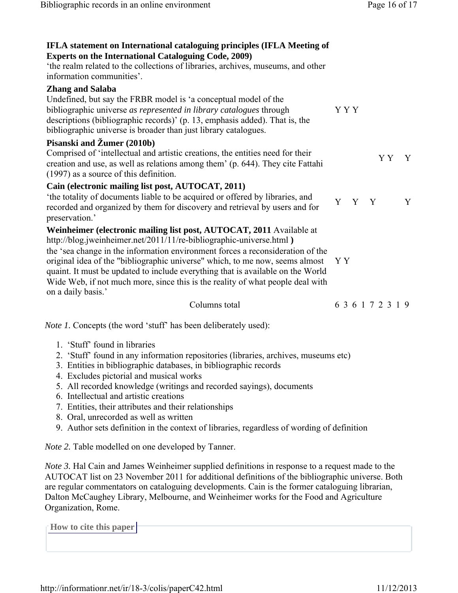| IFLA statement on International cataloguing principles (IFLA Meeting of<br><b>Experts on the International Cataloguing Code, 2009)</b><br>'the realm related to the collections of libraries, archives, museums, and other<br>information communities'.<br><b>Zhang and Salaba</b><br>Undefined, but say the FRBR model is 'a conceptual model of the<br>bibliographic universe as represented in library catalogues through<br>descriptions (bibliographic records)' (p. 13, emphasis added). That is, the<br>bibliographic universe is broader than just library catalogues. | Y Y Y             |
|--------------------------------------------------------------------------------------------------------------------------------------------------------------------------------------------------------------------------------------------------------------------------------------------------------------------------------------------------------------------------------------------------------------------------------------------------------------------------------------------------------------------------------------------------------------------------------|-------------------|
| Pisanski and Žumer (2010b)<br>Comprised of 'intellectual and artistic creations, the entities need for their<br>creation and use, as well as relations among them' (p. 644). They cite Fattahi<br>(1997) as a source of this definition.                                                                                                                                                                                                                                                                                                                                       | Y Y<br>Y          |
| Cain (electronic mailing list post, AUTOCAT, 2011)<br>'the totality of documents liable to be acquired or offered by libraries, and<br>recorded and organized by them for discovery and retrieval by users and for<br>preservation.'                                                                                                                                                                                                                                                                                                                                           | Y Y Y<br>Y        |
| Weinheimer (electronic mailing list post, AUTOCAT, 2011 Available at<br>http://blog.jweinheimer.net/2011/11/re-bibliographic-universe.html)<br>the 'sea change in the information environment forces a reconsideration of the<br>original idea of the "bibliographic universe" which, to me now, seems almost<br>quaint. It must be updated to include everything that is available on the World<br>Wide Web, if not much more, since this is the reality of what people deal with<br>on a daily basis.'                                                                       | Y Y               |
| Columns total                                                                                                                                                                                                                                                                                                                                                                                                                                                                                                                                                                  | 6 3 6 1 7 2 3 1 9 |
| <i>Note 1.</i> Concepts (the word 'stuff' has been deliberately used):                                                                                                                                                                                                                                                                                                                                                                                                                                                                                                         |                   |
| 1. 'Stuff' found in libraries<br>2. 'Stuff' found in any information repositories (libraries, archives, museums etc)<br>3. Entities in bibliographic databases, in bibliographic records<br>4. Excludes pictorial and musical works<br>5. All recorded knowledge (writings and recorded sayings), documents<br>6. Intellectual and artistic creations<br>7. Entities, their attributes and their relationships                                                                                                                                                                 |                   |

- 8. Oral, unrecorded as well as written
- 9. Author sets definition in the context of libraries, regardless of wording of definition

*Note 2.* Table modelled on one developed by Tanner.

*Note 3.* Hal Cain and James Weinheimer supplied definitions in response to a request made to the AUTOCAT list on 23 November 2011 for additional definitions of the bibliographic universe. Both are regular commentators on cataloguing developments. Cain is the former cataloguing librarian, Dalton McCaughey Library, Melbourne, and Weinheimer works for the Food and Agriculture Organization, Rome.

**How to cite this paper**